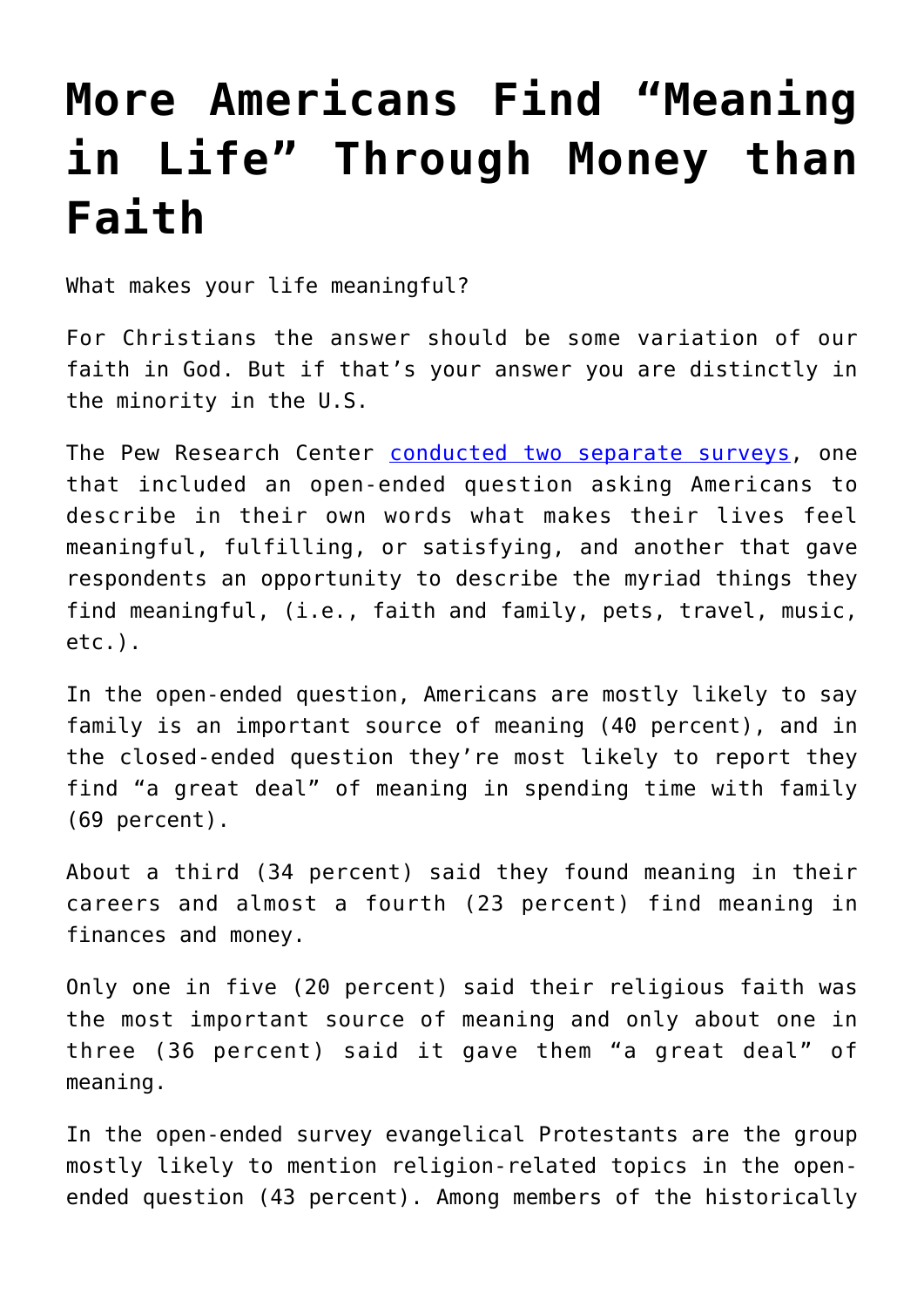## **[More Americans Find "Meaning](https://intellectualtakeout.org/2019/01/more-americans-find-meaning-in-life-through-money-than-faith/) [in Life" Through Money than](https://intellectualtakeout.org/2019/01/more-americans-find-meaning-in-life-through-money-than-faith/) [Faith](https://intellectualtakeout.org/2019/01/more-americans-find-meaning-in-life-through-money-than-faith/)**

What makes your life meaningful?

For Christians the answer should be some variation of our faith in God. But if that's your answer you are distinctly in the minority in the U.S.

The Pew Research Center [conducted two separate surveys](http://www.pewforum.org/2018/11/20/where-americans-find-meaning-in-life/), one that included an open-ended question asking Americans to describe in their own words what makes their lives feel meaningful, fulfilling, or satisfying, and another that gave respondents an opportunity to describe the myriad things they find meaningful, (i.e., faith and family, pets, travel, music, etc.).

In the open-ended question, Americans are mostly likely to say family is an important source of meaning (40 percent), and in the closed-ended question they're most likely to report they find "a great deal" of meaning in spending time with family (69 percent).

About a third (34 percent) said they found meaning in their careers and almost a fourth (23 percent) find meaning in finances and money.

Only one in five (20 percent) said their religious faith was the most important source of meaning and only about one in three (36 percent) said it gave them "a great deal" of meaning.

In the open-ended survey evangelical Protestants are the group mostly likely to mention religion-related topics in the openended question (43 percent). Among members of the historically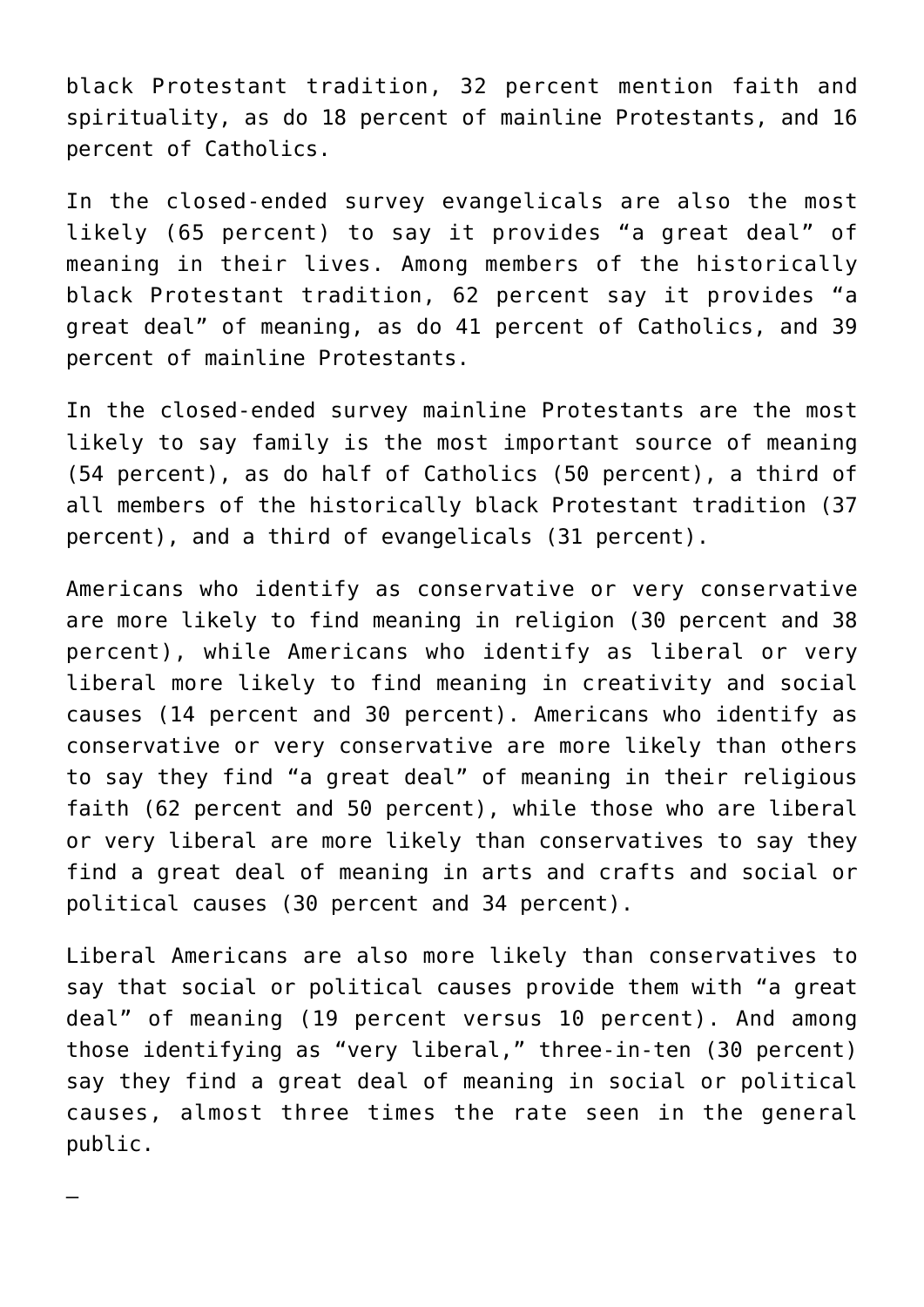black Protestant tradition, 32 percent mention faith and spirituality, as do 18 percent of mainline Protestants, and 16 percent of Catholics.

In the closed-ended survey evangelicals are also the most likely (65 percent) to say it provides "a great deal" of meaning in their lives. Among members of the historically black Protestant tradition, 62 percent say it provides "a great deal" of meaning, as do 41 percent of Catholics, and 39 percent of mainline Protestants.

In the closed-ended survey mainline Protestants are the most likely to say family is the most important source of meaning (54 percent), as do half of Catholics (50 percent), a third of all members of the historically black Protestant tradition (37 percent), and a third of evangelicals (31 percent).

Americans who identify as conservative or very conservative are more likely to find meaning in religion (30 percent and 38 percent), while Americans who identify as liberal or very liberal more likely to find meaning in creativity and social causes (14 percent and 30 percent). Americans who identify as conservative or very conservative are more likely than others to say they find "a great deal" of meaning in their religious faith (62 percent and 50 percent), while those who are liberal or very liberal are more likely than conservatives to say they find a great deal of meaning in arts and crafts and social or political causes (30 percent and 34 percent).

Liberal Americans are also more likely than conservatives to say that social or political causes provide them with "a great deal" of meaning (19 percent versus 10 percent). And among those identifying as "very liberal," three-in-ten (30 percent) say they find a great deal of meaning in social or political causes, almost three times the rate seen in the general public.

—